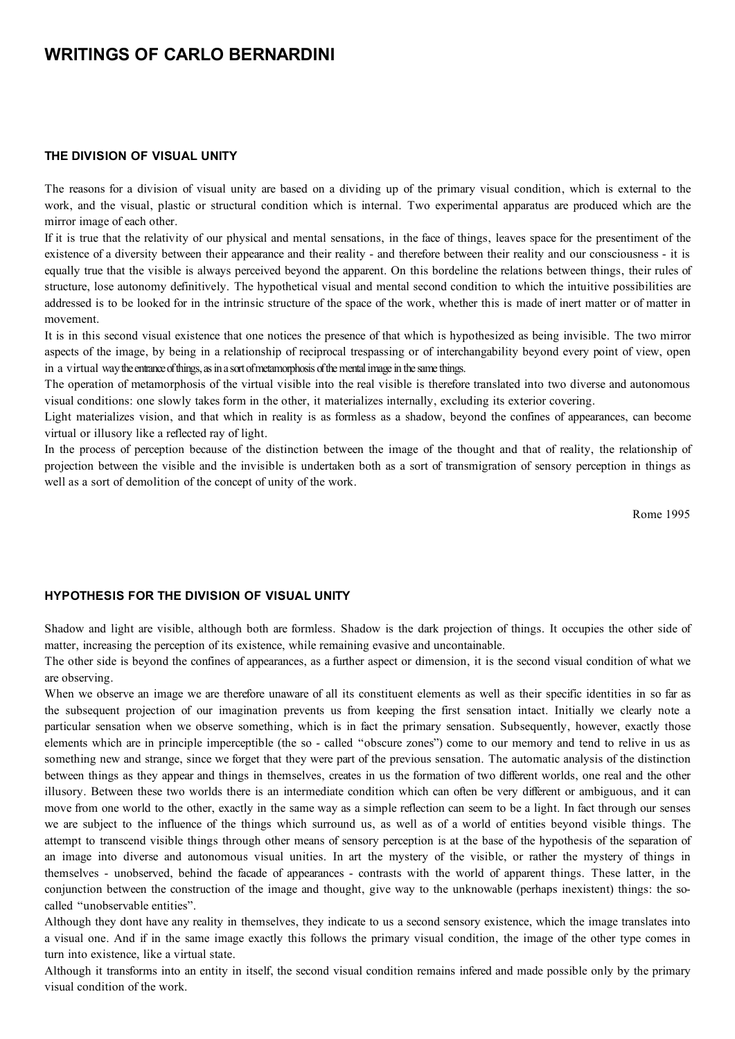# **WRITINGS OF CARLO BERNARDINI**

#### **THE DIVISION OF VISUAL UNITY**

The reasons for a division of visual unity are based on a dividing up of the primary visual condition, which is external to the work, and the visual, plastic or structural condition which is internal. Two experimental apparatus are produced which are the mirror image of each other.

If it is true that the relativity of our physical and mental sensations, in the face of things, leaves space for the presentiment of the existence of a diversity between their appearance and their reality - and therefore between their reality and our consciousness - it is equally true that the visible is always perceived beyond the apparent. On this bordeline the relations between things, their rules of structure, lose autonomy definitively. The hypothetical visual and mental second condition to which the intuitive possibilities are addressed is to be looked for in the intrinsic structure of the space of the work, whether this is made of inert matter or of matter in movement.

It is in this second visual existence that one notices the presence of that which is hypothesized as being invisible. The two mirror aspects of the image, by being in a relationship of reciprocal trespassing or of interchangability beyond every point of view, open in a virtual way the entrance of things, as in a sort of metamorphosis of the mental image in the same things.

The operation of metamorphosis of the virtual visible into the real visible is therefore translated into two diverse and autonomous visual conditions: one slowly takes form in the other, it materializes internally, excluding its exterior covering.

Light materializes vision, and that which in reality is as formless as a shadow, beyond the confines of appearances, can become virtual or illusory like a reflected ray of light.

In the process of perception because of the distinction between the image of the thought and that of reality, the relationship of projection between the visible and the invisible is undertaken both as a sort of transmigration of sensory perception in things as well as a sort of demolition of the concept of unity of the work.

Rome 1995

#### **HYPOTHESIS FOR THE DIVISION OF VISUAL UNITY**

Shadow and light are visible, although both are formless. Shadow is the dark projection of things. It occupies the other side of matter, increasing the perception of its existence, while remaining evasive and uncontainable.

The other side is beyond the confines of appearances, as a further aspect or dimension, it is the second visual condition of what we are observing.

When we observe an image we are therefore unaware of all its constituent elements as well as their specific identities in so far as the subsequent projection of our imagination prevents us from keeping the first sensation intact. Initially we clearly note a particular sensation when we observe something, which is in fact the primary sensation. Subsequently, however, exactly those elements which are in principle imperceptible (the so - called "obscure zones") come to our memory and tend to relive in us as something new and strange, since we forget that they were part of the previous sensation. The automatic analysis of the distinction between things as they appear and things in themselves, creates in us the formation of two different worlds, one real and the other illusory. Between these two worlds there is an intermediate condition which can often be very different or ambiguous, and it can move from one world to the other, exactly in the same way as a simple reflection can seem to be a light. In fact through our senses we are subject to the influence of the things which surround us, as well as of a world of entities beyond visible things. The attempt to transcend visible things through other means of sensory perception is at the base of the hypothesis of the separation of an image into diverse and autonomous visual unities. In art the mystery of the visible, or rather the mystery of things in themselves - unobserved, behind the facade of appearances - contrasts with the world of apparent things. These latter, in the conjunction between the construction of the image and thought, give way to the unknowable (perhaps inexistent) things: the socalled "unobservable entities".

Although they dont have any reality in themselves, they indicate to us a second sensory existence, which the image translates into a visual one. And if in the same image exactly this follows the primary visual condition, the image of the other type comes in turn into existence, like a virtual state.

Although it transforms into an entity in itself, the second visual condition remains infered and made possible only by the primary visual condition of the work.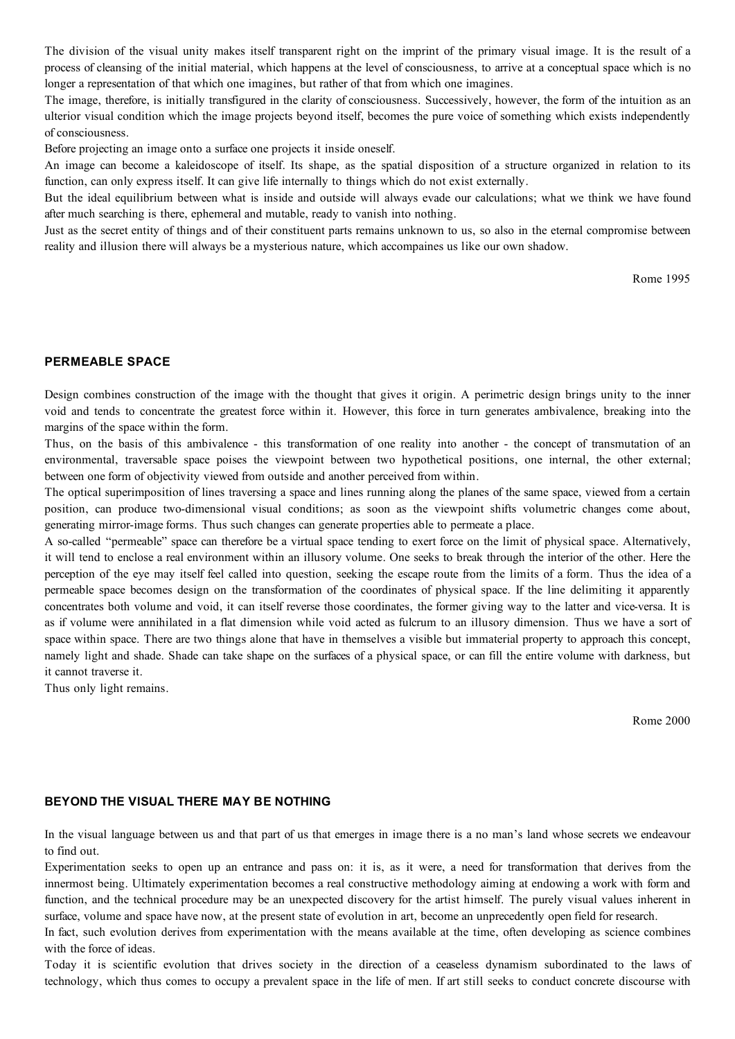The division of the visual unity makes itself transparent right on the imprint of the primary visual image. It is the result of a process of cleansing of the initial material, which happens at the level of consciousness, to arrive at a conceptual space which is no longer a representation of that which one imagines, but rather of that from which one imagines.

The image, therefore, is initially transfigured in the clarity of consciousness. Successively, however, the form of the intuition as an ulterior visual condition which the image projects beyond itself, becomes the pure voice of something which exists independently of consciousness.

Before projecting an image onto a surface one projects it inside oneself.

An image can become a kaleidoscope of itself. Its shape, as the spatial disposition of a structure organized in relation to its function, can only express itself. It can give life internally to things which do not exist externally.

But the ideal equilibrium between what is inside and outside will always evade our calculations; what we think we have found after much searching is there, ephemeral and mutable, ready to vanish into nothing.

Just as the secret entity of things and of their constituent parts remains unknown to us, so also in the eternal compromise between reality and illusion there will always be a mysterious nature, which accompaines us like our own shadow.

Rome 1995

# **PERMEABLE SPACE**

Design combines construction of the image with the thought that gives it origin. A perimetric design brings unity to the inner void and tends to concentrate the greatest force within it. However, this force in turn generates ambivalence, breaking into the margins of the space within the form.

Thus, on the basis of this ambivalence - this transformation of one reality into another - the concept of transmutation of an environmental, traversable space poises the viewpoint between two hypothetical positions, one internal, the other external; between one form of objectivity viewed from outside and another perceived from within.

The optical superimposition of lines traversing a space and lines running along the planes of the same space, viewed from a certain position, can produce two-dimensional visual conditions; as soon as the viewpoint shifts volumetric changes come about, generating mirror-image forms. Thus such changes can generate properties able to permeate a place.

A so-called "permeable" space can therefore be a virtual space tending to exert force on the limit of physical space. Alternatively, it will tend to enclose a real environment within an illusory volume. One seeks to break through the interior of the other. Here the perception of the eye may itself feel called into question, seeking the escape route from the limits of a form. Thus the idea of a permeable space becomes design on the transformation of the coordinates of physical space. If the line delimiting it apparently concentrates both volume and void, it can itself reverse those coordinates, the former giving way to the latter and vice-versa. It is as if volume were annihilated in a flat dimension while void acted as fulcrum to an illusory dimension. Thus we have a sort of space within space. There are two things alone that have in themselves a visible but immaterial property to approach this concept, namely light and shade. Shade can take shape on the surfaces of a physical space, or can fill the entire volume with darkness, but it cannot traverse it.

Thus only light remains.

Rome 2000

#### **BEYOND THE VISUAL THERE MAY BE NOTHING**

In the visual language between us and that part of us that emerges in image there is a no man's land whose secrets we endeavour to find out.

Experimentation seeks to open up an entrance and pass on: it is, as it were, a need for transformation that derives from the innermost being. Ultimately experimentation becomes a real constructive methodology aiming at endowing a work with form and function, and the technical procedure may be an unexpected discovery for the artist himself. The purely visual values inherent in surface, volume and space have now, at the present state of evolution in art, become an unprecedently open field for research.

In fact, such evolution derives from experimentation with the means available at the time, often developing as science combines with the force of ideas.

Today it is scientific evolution that drives society in the direction of a ceaseless dynamism subordinated to the laws of technology, which thus comes to occupy a prevalent space in the life of men. If art still seeks to conduct concrete discourse with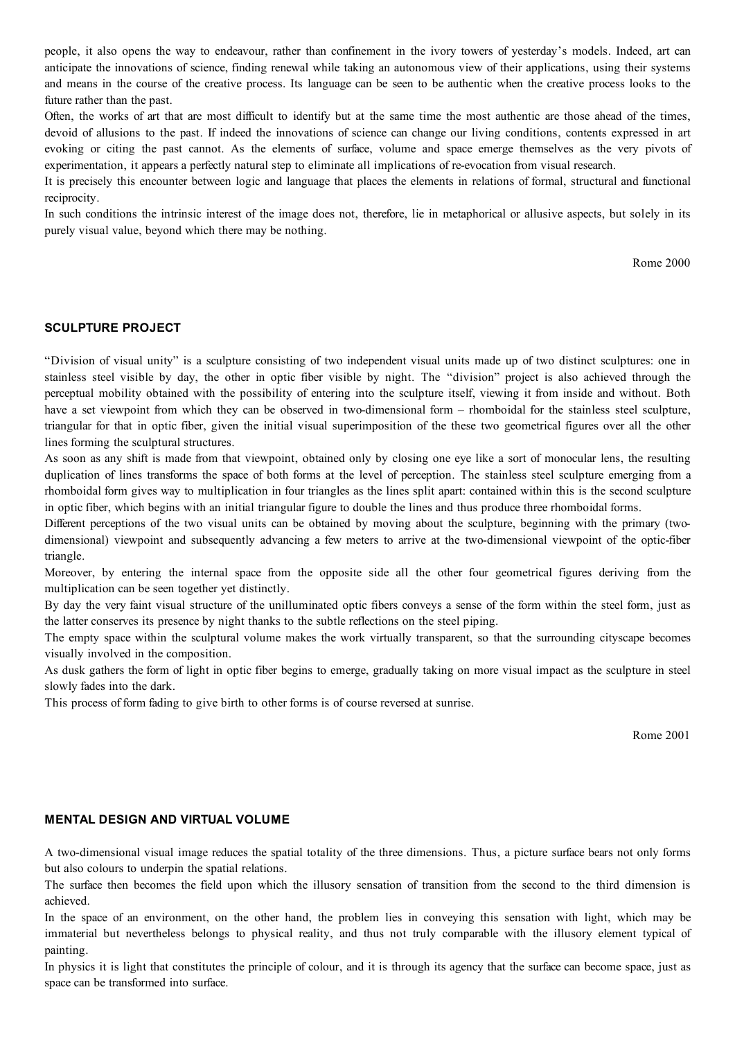people, it also opens the way to endeavour, rather than confinement in the ivory towers of yesterday's models. Indeed, art can anticipate the innovations of science, finding renewal while taking an autonomous view of their applications, using their systems and means in the course of the creative process. Its language can be seen to be authentic when the creative process looks to the future rather than the past.

Often, the works of art that are most difficult to identify but at the same time the most authentic are those ahead of the times, devoid of allusions to the past. If indeed the innovations of science can change our living conditions, contents expressed in art evoking or citing the past cannot. As the elements of surface, volume and space emerge themselves as the very pivots of experimentation, it appears a perfectly natural step to eliminate all implications of re-evocation from visual research.

It is precisely this encounter between logic and language that places the elements in relations of formal, structural and functional reciprocity.

In such conditions the intrinsic interest of the image does not, therefore, lie in metaphorical or allusive aspects, but solely in its purely visual value, beyond which there may be nothing.

Rome 2000

#### **SCULPTURE PROJECT**

"Division of visual unity" is a sculpture consisting of two independent visual units made up of two distinct sculptures: one in stainless steel visible by day, the other in optic fiber visible by night. The "division" project is also achieved through the perceptual mobility obtained with the possibility of entering into the sculpture itself, viewing it from inside and without. Both have a set viewpoint from which they can be observed in two-dimensional form – rhomboidal for the stainless steel sculpture, triangular for that in optic fiber, given the initial visual superimposition of the these two geometrical figures over all the other lines forming the sculptural structures.

As soon as any shift is made from that viewpoint, obtained only by closing one eye like a sort of monocular lens, the resulting duplication of lines transforms the space of both forms at the level of perception. The stainless steel sculpture emerging from a rhomboidal form gives way to multiplication in four triangles as the lines split apart: contained within this is the second sculpture in optic fiber, which begins with an initial triangular figure to double the lines and thus produce three rhomboidal forms.

Different perceptions of the two visual units can be obtained by moving about the sculpture, beginning with the primary (twodimensional) viewpoint and subsequently advancing a few meters to arrive at the two-dimensional viewpoint of the optic-fiber triangle.

Moreover, by entering the internal space from the opposite side all the other four geometrical figures deriving from the multiplication can be seen together yet distinctly.

By day the very faint visual structure of the unilluminated optic fibers conveys a sense of the form within the steel form, just as the latter conserves its presence by night thanks to the subtle reflections on the steel piping.

The empty space within the sculptural volume makes the work virtually transparent, so that the surrounding cityscape becomes visually involved in the composition.

As dusk gathers the form of light in optic fiber begins to emerge, gradually taking on more visual impact as the sculpture in steel slowly fades into the dark.

This process of form fading to give birth to other forms is of course reversed at sunrise.

Rome 2001

## **MENTAL DESIGN AND VIRTUAL VOLUME**

A two-dimensional visual image reduces the spatial totality of the three dimensions. Thus, a picture surface bears not only forms but also colours to underpin the spatial relations.

The surface then becomes the field upon which the illusory sensation of transition from the second to the third dimension is achieved.

In the space of an environment, on the other hand, the problem lies in conveying this sensation with light, which may be immaterial but nevertheless belongs to physical reality, and thus not truly comparable with the illusory element typical of painting.

In physics it is light that constitutes the principle of colour, and it is through its agency that the surface can become space, just as space can be transformed into surface.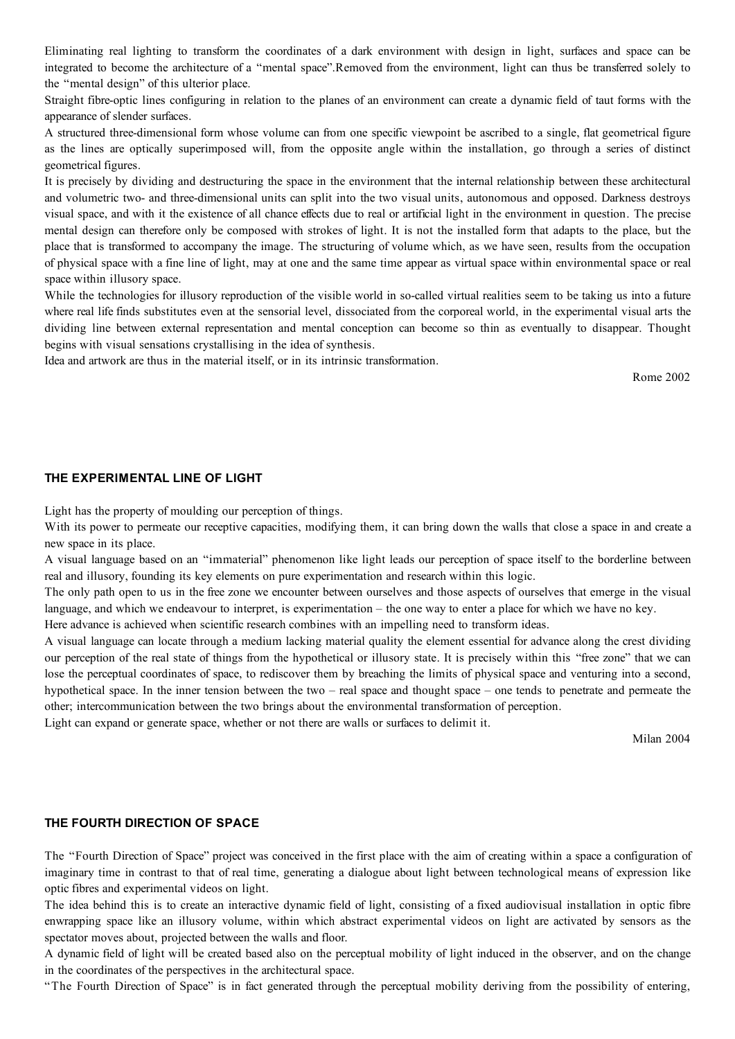Eliminating real lighting to transform the coordinates of a dark environment with design in light, surfaces and space can be integrated to become the architecture of a "mental space".Removed from the environment, light can thus be transferred solely to the "mental design" of this ulterior place.

Straight fibre-optic lines configuring in relation to the planes of an environment can create a dynamic field of taut forms with the appearance of slender surfaces.

A structured three-dimensional form whose volume can from one specific viewpoint be ascribed to a single, flat geometrical figure as the lines are optically superimposed will, from the opposite angle within the installation, go through a series of distinct geometrical figures.

It is precisely by dividing and destructuring the space in the environment that the internal relationship between these architectural and volumetric two- and three-dimensional units can split into the two visual units, autonomous and opposed. Darkness destroys visual space, and with it the existence of all chance effects due to real or artificial light in the environment in question. The precise mental design can therefore only be composed with strokes of light. It is not the installed form that adapts to the place, but the place that is transformed to accompany the image. The structuring of volume which, as we have seen, results from the occupation of physical space with a fine line of light, may at one and the same time appear as virtual space within environmental space or real space within illusory space.

While the technologies for illusory reproduction of the visible world in so-called virtual realities seem to be taking us into a future where real life finds substitutes even at the sensorial level, dissociated from the corporeal world, in the experimental visual arts the dividing line between external representation and mental conception can become so thin as eventually to disappear. Thought begins with visual sensations crystallising in the idea of synthesis.

Idea and artwork are thus in the material itself, or in its intrinsic transformation.

Rome 2002

#### **THE EXPERIMENTAL LINE OF LIGHT**

Light has the property of moulding our perception of things.

With its power to permeate our receptive capacities, modifying them, it can bring down the walls that close a space in and create a new space in its place.

A visual language based on an "immaterial" phenomenon like light leads our perception of space itself to the borderline between real and illusory, founding its key elements on pure experimentation and research within this logic.

The only path open to us in the free zone we encounter between ourselves and those aspects of ourselves that emerge in the visual language, and which we endeavour to interpret, is experimentation – the one way to enter a place for which we have no key.

Here advance is achieved when scientific research combines with an impelling need to transform ideas.

A visual language can locate through a medium lacking material quality the element essential for advance along the crest dividing our perception of the real state of things from the hypothetical or illusory state. It is precisely within this "free zone" that we can lose the perceptual coordinates of space, to rediscover them by breaching the limits of physical space and venturing into a second, hypothetical space. In the inner tension between the two – real space and thought space – one tends to penetrate and permeate the other; intercommunication between the two brings about the environmental transformation of perception.

Light can expand or generate space, whether or not there are walls or surfaces to delimit it.

Milan 2004

## **THE FOURTH DIRECTION OF SPACE**

The "Fourth Direction of Space" project was conceived in the first place with the aim of creating within a space a configuration of imaginary time in contrast to that of real time, generating a dialogue about light between technological means of expression like optic fibres and experimental videos on light.

The idea behind this is to create an interactive dynamic field of light, consisting of a fixed audiovisual installation in optic fibre enwrapping space like an illusory volume, within which abstract experimental videos on light are activated by sensors as the spectator moves about, projected between the walls and floor.

A dynamic field of light will be created based also on the perceptual mobility of light induced in the observer, and on the change in the coordinates of the perspectives in the architectural space.

"The Fourth Direction of Space" is in fact generated through the perceptual mobility deriving from the possibility of entering,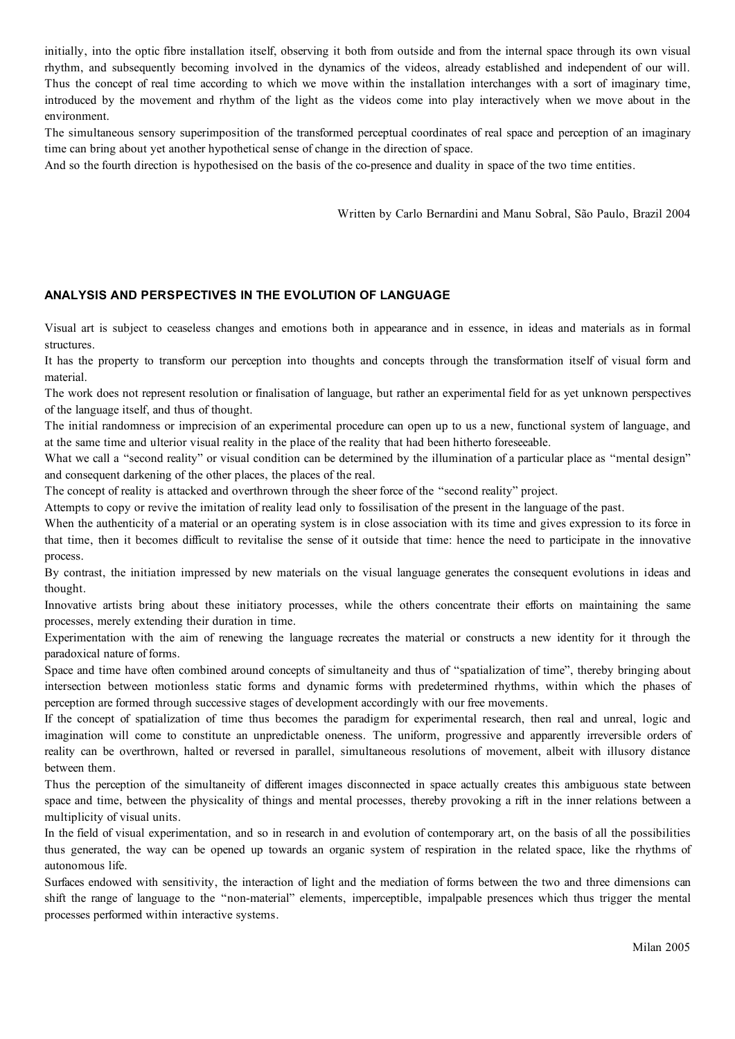initially, into the optic fibre installation itself, observing it both from outside and from the internal space through its own visual rhythm, and subsequently becoming involved in the dynamics of the videos, already established and independent of our will. Thus the concept of real time according to which we move within the installation interchanges with a sort of imaginary time, introduced by the movement and rhythm of the light as the videos come into play interactively when we move about in the environment.

The simultaneous sensory superimposition of the transformed perceptual coordinates of real space and perception of an imaginary time can bring about yet another hypothetical sense of change in the direction of space.

And so the fourth direction is hypothesised on the basis of the co-presence and duality in space of the two time entities.

Written by Carlo Bernardini and Manu Sobral, São Paulo, Brazil 2004

# **ANALYSIS AND PERSPECTIVES IN THE EVOLUTION OF LANGUAGE**

Visual art is subject to ceaseless changes and emotions both in appearance and in essence, in ideas and materials as in formal structures.

It has the property to transform our perception into thoughts and concepts through the transformation itself of visual form and material.

The work does not represent resolution or finalisation of language, but rather an experimental field for as yet unknown perspectives of the language itself, and thus of thought.

The initial randomness or imprecision of an experimental procedure can open up to us a new, functional system of language, and at the same time and ulterior visual reality in the place of the reality that had been hitherto foreseeable.

What we call a "second reality" or visual condition can be determined by the illumination of a particular place as "mental design" and consequent darkening of the other places, the places of the real.

The concept of reality is attacked and overthrown through the sheer force of the "second reality" project.

Attempts to copy or revive the imitation of reality lead only to fossilisation of the present in the language of the past.

When the authenticity of a material or an operating system is in close association with its time and gives expression to its force in that time, then it becomes difficult to revitalise the sense of it outside that time: hence the need to participate in the innovative process.

By contrast, the initiation impressed by new materials on the visual language generates the consequent evolutions in ideas and thought.

Innovative artists bring about these initiatory processes, while the others concentrate their efforts on maintaining the same processes, merely extending their duration in time.

Experimentation with the aim of renewing the language recreates the material or constructs a new identity for it through the paradoxical nature of forms.

Space and time have often combined around concepts of simultaneity and thus of "spatialization of time", thereby bringing about intersection between motionless static forms and dynamic forms with predetermined rhythms, within which the phases of perception are formed through successive stages of development accordingly with our free movements.

If the concept of spatialization of time thus becomes the paradigm for experimental research, then real and unreal, logic and imagination will come to constitute an unpredictable oneness. The uniform, progressive and apparently irreversible orders of reality can be overthrown, halted or reversed in parallel, simultaneous resolutions of movement, albeit with illusory distance between them.

Thus the perception of the simultaneity of different images disconnected in space actually creates this ambiguous state between space and time, between the physicality of things and mental processes, thereby provoking a rift in the inner relations between a multiplicity of visual units.

In the field of visual experimentation, and so in research in and evolution of contemporary art, on the basis of all the possibilities thus generated, the way can be opened up towards an organic system of respiration in the related space, like the rhythms of autonomous life.

Surfaces endowed with sensitivity, the interaction of light and the mediation of forms between the two and three dimensions can shift the range of language to the "non-material" elements, imperceptible, impalpable presences which thus trigger the mental processes performed within interactive systems.